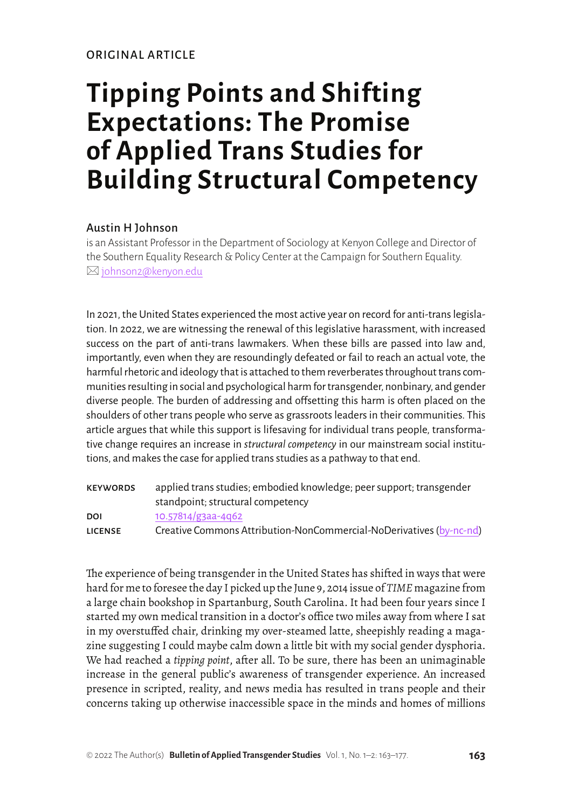# **Tipping Points and Shifting Expectations: The Promise of Applied Trans Studies for Building Structural Competency**

### Austin H Johnson

is an Assistant Professor in the Department of Sociology at Kenyon College and Director of the Southern Equality Research & Policy Center at the Campaign for Southern Equality. ⊠ [johnson2@kenyon.edu](mailto:johnson2%40kenyon.edu?subject=)

In 2021, the United States experienced the most active year on record for anti-trans legislation. In 2022, we are witnessing the renewal of this legislative harassment, with increased success on the part of anti-trans lawmakers. When these bills are passed into law and, importantly, even when they are resoundingly defeated or fail to reach an actual vote, the harmful rhetoric and ideology that is attached to them reverberates throughout trans communities resulting in social and psychological harm for transgender, nonbinary, and gender diverse people. The burden of addressing and offsetting this harm is often placed on the shoulders of other trans people who serve as grassroots leaders in their communities. This article argues that while this support is lifesaving for individual trans people, transformative change requires an increase in *structural competency* in our mainstream social institutions, and makes the case for applied trans studies as a pathway to that end.

| <b>KEYWORDS</b> | applied trans studies; embodied knowledge; peer support; transgender |
|-----------------|----------------------------------------------------------------------|
|                 | standpoint; structural competency                                    |
| DOI             | $10.57814/g3aa-4q62$                                                 |
| <b>LICENSE</b>  | Creative Commons Attribution-NonCommercial-NoDerivatives (by-nc-nd)  |

The experience of being transgender in the United States has shifted in ways that were hard for me to foresee the day I picked up the June 9, 2014 issue of *TIME* magazine from a large chain bookshop in Spartanburg, South Carolina. It had been four years since I started my own medical transition in a doctor's office two miles away from where I sat in my overstuffed chair, drinking my over-steamed latte, sheepishly reading a magazine suggesting I could maybe calm down a little bit with my social gender dysphoria. We had reached a *tipping point*, after all. To be sure, there has been an unimaginable increase in the general public's awareness of transgender experience. An increased presence in scripted, reality, and news media has resulted in trans people and their concerns taking up otherwise inaccessible space in the minds and homes of millions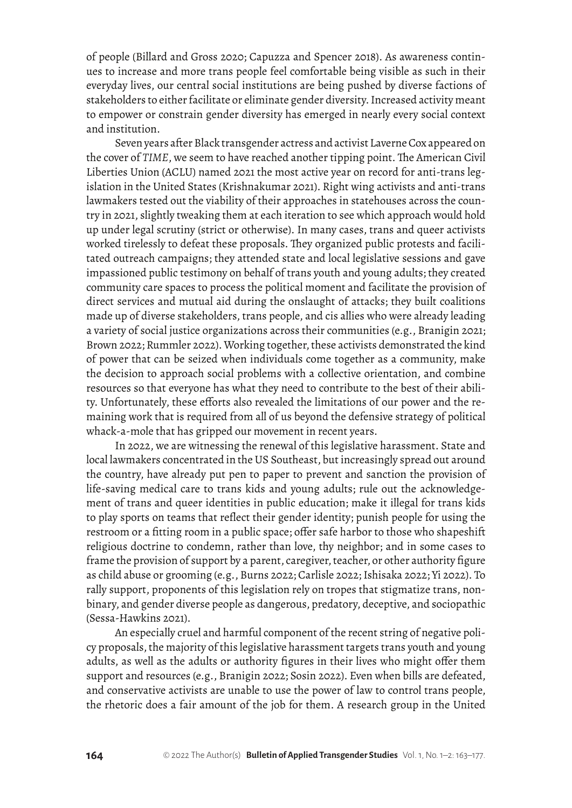of people (Billard and Gross 2020; Capuzza and Spencer 2018). As awareness continues to increase and more trans people feel comfortable being visible as such in their everyday lives, our central social institutions are being pushed by diverse factions of stakeholders to either facilitate or eliminate gender diversity. Increased activity meant to empower or constrain gender diversity has emerged in nearly every social context and institution.

Seven years after Black transgender actress and activist Laverne Cox appeared on the cover of *TIME*, we seem to have reached another tipping point. The American Civil Liberties Union (ACLU) named 2021 the most active year on record for anti-trans legislation in the United States (Krishnakumar 2021). Right wing activists and anti-trans lawmakers tested out the viability of their approaches in statehouses across the country in 2021, slightly tweaking them at each iteration to see which approach would hold up under legal scrutiny (strict or otherwise). In many cases, trans and queer activists worked tirelessly to defeat these proposals. They organized public protests and facilitated outreach campaigns; they attended state and local legislative sessions and gave impassioned public testimony on behalf of trans youth and young adults; they created community care spaces to process the political moment and facilitate the provision of direct services and mutual aid during the onslaught of attacks; they built coalitions made up of diverse stakeholders, trans people, and cis allies who were already leading a variety of social justice organizations across their communities (e.g., Branigin 2021; Brown 2022; Rummler 2022). Working together, these activists demonstrated the kind of power that can be seized when individuals come together as a community, make the decision to approach social problems with a collective orientation, and combine resources so that everyone has what they need to contribute to the best of their ability. Unfortunately, these efforts also revealed the limitations of our power and the remaining work that is required from all of us beyond the defensive strategy of political whack-a-mole that has gripped our movement in recent years.

In 2022, we are witnessing the renewal of this legislative harassment. State and local lawmakers concentrated in the US Southeast, but increasingly spread out around the country, have already put pen to paper to prevent and sanction the provision of life-saving medical care to trans kids and young adults; rule out the acknowledgement of trans and queer identities in public education; make it illegal for trans kids to play sports on teams that reflect their gender identity; punish people for using the restroom or a fitting room in a public space; offer safe harbor to those who shapeshift religious doctrine to condemn, rather than love, thy neighbor; and in some cases to frame the provision of support by a parent, caregiver, teacher, or other authority figure as child abuse or grooming (e.g., Burns 2022; Carlisle 2022; Ishisaka 2022; Yi 2022). To rally support, proponents of this legislation rely on tropes that stigmatize trans, nonbinary, and gender diverse people as dangerous, predatory, deceptive, and sociopathic (Sessa-Hawkins 2021).

An especially cruel and harmful component of the recent string of negative policy proposals, the majority of this legislative harassment targets trans youth and young adults, as well as the adults or authority figures in their lives who might offer them support and resources (e.g., Branigin 2022; Sosin 2022). Even when bills are defeated, and conservative activists are unable to use the power of law to control trans people, the rhetoric does a fair amount of the job for them. A research group in the United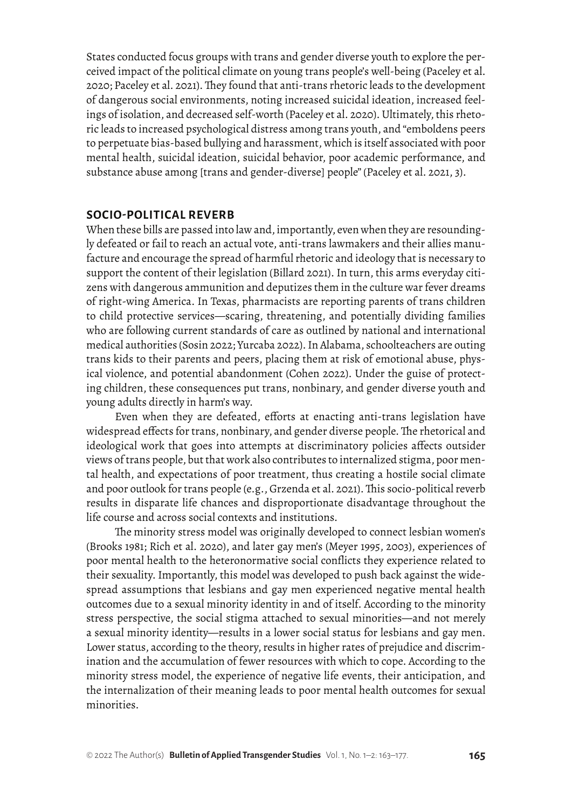States conducted focus groups with trans and gender diverse youth to explore the perceived impact of the political climate on young trans people's well-being (Paceley et al. 2020; Paceley et al. 2021). They found that anti-trans rhetoric leads to the development of dangerous social environments, noting increased suicidal ideation, increased feelings of isolation, and decreased self-worth (Paceley et al. 2020). Ultimately, this rhetoric leads to increased psychological distress among trans youth, and "emboldens peers to perpetuate bias-based bullying and harassment, which is itself associated with poor mental health, suicidal ideation, suicidal behavior, poor academic performance, and substance abuse among [trans and gender-diverse] people" (Paceley et al. 2021, 3).

#### **SOCIO-POLITICAL REVERB**

When these bills are passed into law and, importantly, even when they are resoundingly defeated or fail to reach an actual vote, anti-trans lawmakers and their allies manufacture and encourage the spread of harmful rhetoric and ideology that is necessary to support the content of their legislation (Billard 2021). In turn, this arms everyday citizens with dangerous ammunition and deputizes them in the culture war fever dreams of right-wing America. In Texas, pharmacists are reporting parents of trans children to child protective services—scaring, threatening, and potentially dividing families who are following current standards of care as outlined by national and international medical authorities (Sosin 2022; Yurcaba 2022). In Alabama, schoolteachers are outing trans kids to their parents and peers, placing them at risk of emotional abuse, physical violence, and potential abandonment (Cohen 2022). Under the guise of protecting children, these consequences put trans, nonbinary, and gender diverse youth and young adults directly in harm's way.

Even when they are defeated, efforts at enacting anti-trans legislation have widespread effects for trans, nonbinary, and gender diverse people. The rhetorical and ideological work that goes into attempts at discriminatory policies affects outsider views of trans people, but that work also contributes to internalized stigma, poor mental health, and expectations of poor treatment, thus creating a hostile social climate and poor outlook for trans people (e.g., Grzenda et al. 2021). This socio-political reverb results in disparate life chances and disproportionate disadvantage throughout the life course and across social contexts and institutions.

The minority stress model was originally developed to connect lesbian women's (Brooks 1981; Rich et al. 2020), and later gay men's (Meyer 1995, 2003), experiences of poor mental health to the heteronormative social conflicts they experience related to their sexuality. Importantly, this model was developed to push back against the widespread assumptions that lesbians and gay men experienced negative mental health outcomes due to a sexual minority identity in and of itself. According to the minority stress perspective, the social stigma attached to sexual minorities—and not merely a sexual minority identity—results in a lower social status for lesbians and gay men. Lower status, according to the theory, results in higher rates of prejudice and discrimination and the accumulation of fewer resources with which to cope. According to the minority stress model, the experience of negative life events, their anticipation, and the internalization of their meaning leads to poor mental health outcomes for sexual minorities.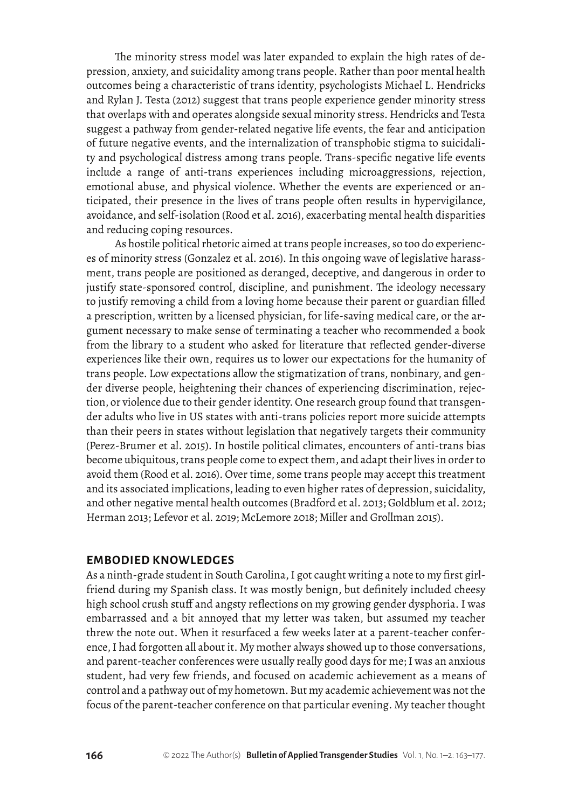The minority stress model was later expanded to explain the high rates of depression, anxiety, and suicidality among trans people. Rather than poor mental health outcomes being a characteristic of trans identity, psychologists Michael L. Hendricks and Rylan J. Testa (2012) suggest that trans people experience gender minority stress that overlaps with and operates alongside sexual minority stress. Hendricks and Testa suggest a pathway from gender-related negative life events, the fear and anticipation of future negative events, and the internalization of transphobic stigma to suicidality and psychological distress among trans people. Trans-specific negative life events include a range of anti-trans experiences including microaggressions, rejection, emotional abuse, and physical violence. Whether the events are experienced or anticipated, their presence in the lives of trans people often results in hypervigilance, avoidance, and self-isolation (Rood et al. 2016), exacerbating mental health disparities and reducing coping resources.

As hostile political rhetoric aimed at trans people increases, so too do experiences of minority stress (Gonzalez et al. 2016). In this ongoing wave of legislative harassment, trans people are positioned as deranged, deceptive, and dangerous in order to justify state-sponsored control, discipline, and punishment. The ideology necessary to justify removing a child from a loving home because their parent or guardian filled a prescription, written by a licensed physician, for life-saving medical care, or the argument necessary to make sense of terminating a teacher who recommended a book from the library to a student who asked for literature that reflected gender-diverse experiences like their own, requires us to lower our expectations for the humanity of trans people. Low expectations allow the stigmatization of trans, nonbinary, and gender diverse people, heightening their chances of experiencing discrimination, rejection, or violence due to their gender identity. One research group found that transgender adults who live in US states with anti-trans policies report more suicide attempts than their peers in states without legislation that negatively targets their community (Perez-Brumer et al. 2015). In hostile political climates, encounters of anti-trans bias become ubiquitous, trans people come to expect them, and adapt their lives in order to avoid them (Rood et al. 2016). Over time, some trans people may accept this treatment and its associated implications, leading to even higher rates of depression, suicidality, and other negative mental health outcomes (Bradford et al. 2013; Goldblum et al. 2012; Herman 2013; Lefevor et al. 2019; McLemore 2018; Miller and Grollman 2015).

#### **EMBODIED KNOWLEDGES**

As a ninth-grade student in South Carolina, I got caught writing a note to my first girlfriend during my Spanish class. It was mostly benign, but definitely included cheesy high school crush stuff and angsty reflections on my growing gender dysphoria. I was embarrassed and a bit annoyed that my letter was taken, but assumed my teacher threw the note out. When it resurfaced a few weeks later at a parent-teacher conference, I had forgotten all about it. My mother always showed up to those conversations, and parent-teacher conferences were usually really good days for me; I was an anxious student, had very few friends, and focused on academic achievement as a means of control and a pathway out of my hometown. But my academic achievement was not the focus of the parent-teacher conference on that particular evening. My teacher thought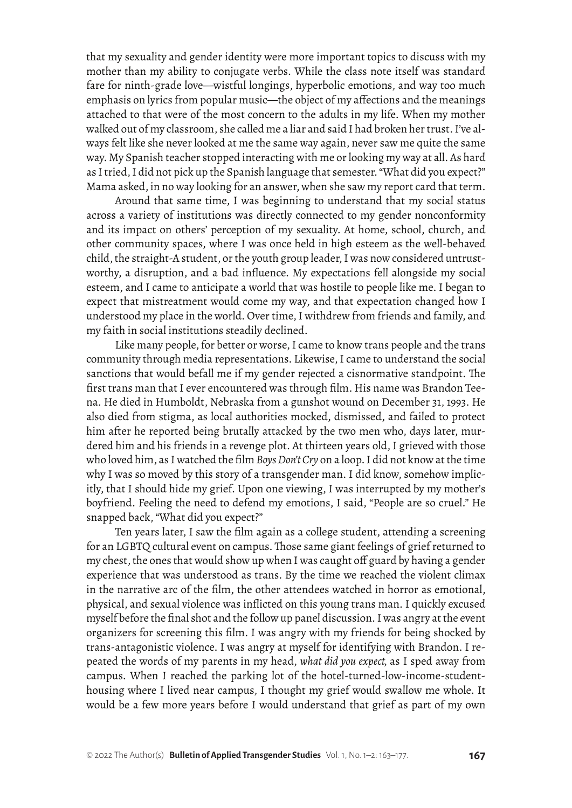that my sexuality and gender identity were more important topics to discuss with my mother than my ability to conjugate verbs. While the class note itself was standard fare for ninth-grade love—wistful longings, hyperbolic emotions, and way too much emphasis on lyrics from popular music—the object of my affections and the meanings attached to that were of the most concern to the adults in my life. When my mother walked out of my classroom, she called me a liar and said I had broken her trust. I've always felt like she never looked at me the same way again, never saw me quite the same way. My Spanish teacher stopped interacting with me or looking my way at all. As hard as I tried, I did not pick up the Spanish language that semester. "What did you expect?" Mama asked, in no way looking for an answer, when she saw my report card that term.

Around that same time, I was beginning to understand that my social status across a variety of institutions was directly connected to my gender nonconformity and its impact on others' perception of my sexuality. At home, school, church, and other community spaces, where I was once held in high esteem as the well-behaved child, the straight-A student, or the youth group leader, I was now considered untrustworthy, a disruption, and a bad influence. My expectations fell alongside my social esteem, and I came to anticipate a world that was hostile to people like me. I began to expect that mistreatment would come my way, and that expectation changed how I understood my place in the world. Over time, I withdrew from friends and family, and my faith in social institutions steadily declined.

Like many people, for better or worse, I came to know trans people and the trans community through media representations. Likewise, I came to understand the social sanctions that would befall me if my gender rejected a cisnormative standpoint. The first trans man that I ever encountered was through film. His name was Brandon Teena. He died in Humboldt, Nebraska from a gunshot wound on December 31, 1993. He also died from stigma, as local authorities mocked, dismissed, and failed to protect him after he reported being brutally attacked by the two men who, days later, murdered him and his friends in a revenge plot. At thirteen years old, I grieved with those who loved him, as I watched the film *Boys Don't Cry* on a loop. I did not know at the time why I was so moved by this story of a transgender man. I did know, somehow implicitly, that I should hide my grief. Upon one viewing, I was interrupted by my mother's boyfriend. Feeling the need to defend my emotions, I said, "People are so cruel." He snapped back, "What did you expect?"

Ten years later, I saw the film again as a college student, attending a screening for an LGBTQ cultural event on campus. Those same giant feelings of grief returned to my chest, the ones that would show up when I was caught off guard by having a gender experience that was understood as trans. By the time we reached the violent climax in the narrative arc of the film, the other attendees watched in horror as emotional, physical, and sexual violence was inflicted on this young trans man. I quickly excused myself before the final shot and the follow up panel discussion. I was angry at the event organizers for screening this film. I was angry with my friends for being shocked by trans-antagonistic violence. I was angry at myself for identifying with Brandon. I repeated the words of my parents in my head, *what did you expect,* as I sped away from campus. When I reached the parking lot of the hotel-turned-low-income-studenthousing where I lived near campus, I thought my grief would swallow me whole. It would be a few more years before I would understand that grief as part of my own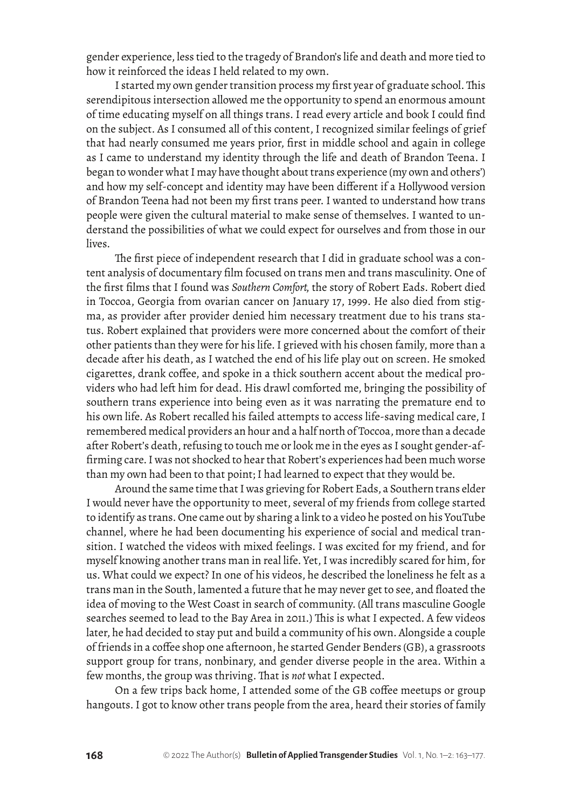gender experience, less tied to the tragedy of Brandon's life and death and more tied to how it reinforced the ideas I held related to my own.

I started my own gender transition process my first year of graduate school. This serendipitous intersection allowed me the opportunity to spend an enormous amount of time educating myself on all things trans. I read every article and book I could find on the subject. As I consumed all of this content, I recognized similar feelings of grief that had nearly consumed me years prior, first in middle school and again in college as I came to understand my identity through the life and death of Brandon Teena. I began to wonder what I may have thought about trans experience (my own and others') and how my self-concept and identity may have been different if a Hollywood version of Brandon Teena had not been my first trans peer. I wanted to understand how trans people were given the cultural material to make sense of themselves. I wanted to understand the possibilities of what we could expect for ourselves and from those in our lives.

The first piece of independent research that I did in graduate school was a content analysis of documentary film focused on trans men and trans masculinity. One of the first films that I found was *Southern Comfort,* the story of Robert Eads. Robert died in Toccoa, Georgia from ovarian cancer on January 17, 1999. He also died from stigma, as provider after provider denied him necessary treatment due to his trans status. Robert explained that providers were more concerned about the comfort of their other patients than they were for his life. I grieved with his chosen family, more than a decade after his death, as I watched the end of his life play out on screen. He smoked cigarettes, drank coffee, and spoke in a thick southern accent about the medical providers who had left him for dead. His drawl comforted me, bringing the possibility of southern trans experience into being even as it was narrating the premature end to his own life. As Robert recalled his failed attempts to access life-saving medical care, I remembered medical providers an hour and a half north of Toccoa, more than a decade after Robert's death, refusing to touch me or look me in the eyes as I sought gender-affirming care. I was not shocked to hear that Robert's experiences had been much worse than my own had been to that point; I had learned to expect that they would be.

Around the same time that I was grieving for Robert Eads, a Southern trans elder I would never have the opportunity to meet, several of my friends from college started to identify as trans. One came out by sharing a link to a video he posted on his YouTube channel, where he had been documenting his experience of social and medical transition. I watched the videos with mixed feelings. I was excited for my friend, and for myself knowing another trans man in real life. Yet, I was incredibly scared for him, for us. What could we expect? In one of his videos, he described the loneliness he felt as a trans man in the South, lamented a future that he may never get to see, and floated the idea of moving to the West Coast in search of community. (All trans masculine Google searches seemed to lead to the Bay Area in 2011.) This is what I expected. A few videos later, he had decided to stay put and build a community of his own. Alongside a couple of friends in a coffee shop one afternoon, he started Gender Benders (GB), a grassroots support group for trans, nonbinary, and gender diverse people in the area. Within a few months, the group was thriving. That is *not* what I expected.

On a few trips back home, I attended some of the GB coffee meetups or group hangouts. I got to know other trans people from the area, heard their stories of family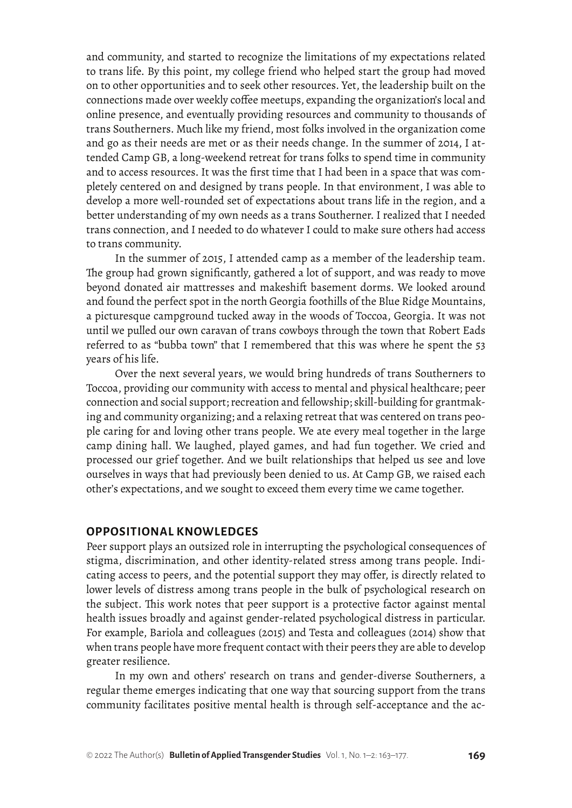and community, and started to recognize the limitations of my expectations related to trans life. By this point, my college friend who helped start the group had moved on to other opportunities and to seek other resources. Yet, the leadership built on the connections made over weekly coffee meetups, expanding the organization's local and online presence, and eventually providing resources and community to thousands of trans Southerners. Much like my friend, most folks involved in the organization come and go as their needs are met or as their needs change. In the summer of 2014, I attended Camp GB, a long-weekend retreat for trans folks to spend time in community and to access resources. It was the first time that I had been in a space that was completely centered on and designed by trans people. In that environment, I was able to develop a more well-rounded set of expectations about trans life in the region, and a better understanding of my own needs as a trans Southerner. I realized that I needed trans connection, and I needed to do whatever I could to make sure others had access to trans community.

In the summer of 2015, I attended camp as a member of the leadership team. The group had grown significantly, gathered a lot of support, and was ready to move beyond donated air mattresses and makeshift basement dorms. We looked around and found the perfect spot in the north Georgia foothills of the Blue Ridge Mountains, a picturesque campground tucked away in the woods of Toccoa, Georgia. It was not until we pulled our own caravan of trans cowboys through the town that Robert Eads referred to as "bubba town" that I remembered that this was where he spent the 53 years of his life.

Over the next several years, we would bring hundreds of trans Southerners to Toccoa, providing our community with access to mental and physical healthcare; peer connection and social support; recreation and fellowship; skill-building for grantmaking and community organizing; and a relaxing retreat that was centered on trans people caring for and loving other trans people. We ate every meal together in the large camp dining hall. We laughed, played games, and had fun together. We cried and processed our grief together. And we built relationships that helped us see and love ourselves in ways that had previously been denied to us. At Camp GB, we raised each other's expectations, and we sought to exceed them every time we came together.

#### **OPPOSITIONAL KNOWLEDGES**

Peer support plays an outsized role in interrupting the psychological consequences of stigma, discrimination, and other identity-related stress among trans people. Indicating access to peers, and the potential support they may offer, is directly related to lower levels of distress among trans people in the bulk of psychological research on the subject. This work notes that peer support is a protective factor against mental health issues broadly and against gender-related psychological distress in particular. For example, Bariola and colleagues (2015) and Testa and colleagues (2014) show that when trans people have more frequent contact with their peers they are able to develop greater resilience.

In my own and others' research on trans and gender-diverse Southerners, a regular theme emerges indicating that one way that sourcing support from the trans community facilitates positive mental health is through self-acceptance and the ac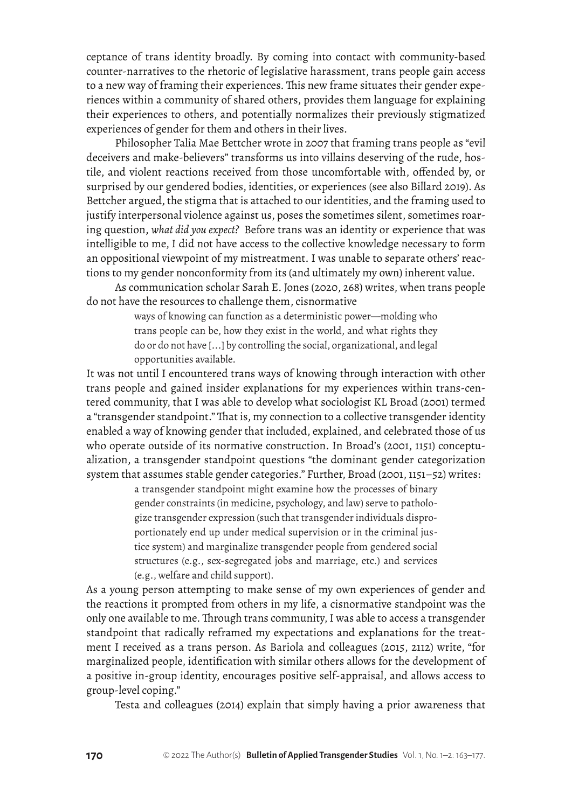ceptance of trans identity broadly. By coming into contact with community-based counter-narratives to the rhetoric of legislative harassment, trans people gain access to a new way of framing their experiences. This new frame situates their gender experiences within a community of shared others, provides them language for explaining their experiences to others, and potentially normalizes their previously stigmatized experiences of gender for them and others in their lives.

Philosopher Talia Mae Bettcher wrote in 2007 that framing trans people as "evil deceivers and make-believers" transforms us into villains deserving of the rude, hostile, and violent reactions received from those uncomfortable with, offended by, or surprised by our gendered bodies, identities, or experiences (see also Billard 2019). As Bettcher argued, the stigma that is attached to our identities, and the framing used to justify interpersonal violence against us, poses the sometimes silent, sometimes roaring question, *what did you expect?* Before trans was an identity or experience that was intelligible to me, I did not have access to the collective knowledge necessary to form an oppositional viewpoint of my mistreatment. I was unable to separate others' reactions to my gender nonconformity from its (and ultimately my own) inherent value.

As communication scholar Sarah E. Jones (2020, 268) writes, when trans people do not have the resources to challenge them, cisnormative

> ways of knowing can function as a deterministic power—molding who trans people can be, how they exist in the world, and what rights they do or do not have [...] by controlling the social, organizational, and legal opportunities available.

It was not until I encountered trans ways of knowing through interaction with other trans people and gained insider explanations for my experiences within trans-centered community, that I was able to develop what sociologist KL Broad (2001) termed a "transgender standpoint." That is, my connection to a collective transgender identity enabled a way of knowing gender that included, explained, and celebrated those of us who operate outside of its normative construction. In Broad's (2001, 1151) conceptualization, a transgender standpoint questions "the dominant gender categorization system that assumes stable gender categories." Further, Broad (2001, 1151–52) writes:

> a transgender standpoint might examine how the processes of binary gender constraints (in medicine, psychology, and law) serve to pathologize transgender expression (such that transgender individuals disproportionately end up under medical supervision or in the criminal justice system) and marginalize transgender people from gendered social structures (e.g., sex-segregated jobs and marriage, etc.) and services (e.g., welfare and child support).

As a young person attempting to make sense of my own experiences of gender and the reactions it prompted from others in my life, a cisnormative standpoint was the only one available to me. Through trans community, I was able to access a transgender standpoint that radically reframed my expectations and explanations for the treatment I received as a trans person. As Bariola and colleagues (2015, 2112) write, "for marginalized people, identification with similar others allows for the development of a positive in-group identity, encourages positive self-appraisal, and allows access to group-level coping."

Testa and colleagues (2014) explain that simply having a prior awareness that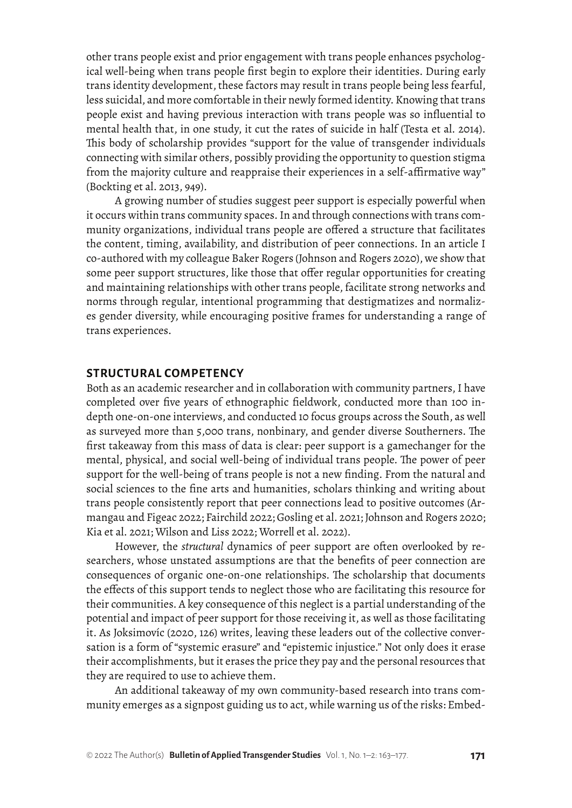other trans people exist and prior engagement with trans people enhances psychological well-being when trans people first begin to explore their identities. During early trans identity development, these factors may result in trans people being less fearful, less suicidal, and more comfortable in their newly formed identity. Knowing that trans people exist and having previous interaction with trans people was so influential to mental health that, in one study, it cut the rates of suicide in half (Testa et al. 2014). This body of scholarship provides "support for the value of transgender individuals connecting with similar others, possibly providing the opportunity to question stigma from the majority culture and reappraise their experiences in a self-affirmative way" (Bockting et al. 2013, 949).

A growing number of studies suggest peer support is especially powerful when it occurs within trans community spaces. In and through connections with trans community organizations, individual trans people are offered a structure that facilitates the content, timing, availability, and distribution of peer connections. In an article I co-authored with my colleague Baker Rogers (Johnson and Rogers 2020), we show that some peer support structures, like those that offer regular opportunities for creating and maintaining relationships with other trans people, facilitate strong networks and norms through regular, intentional programming that destigmatizes and normalizes gender diversity, while encouraging positive frames for understanding a range of trans experiences.

## **STRUCTURAL COMPETENCY**

Both as an academic researcher and in collaboration with community partners, I have completed over five years of ethnographic fieldwork, conducted more than 100 indepth one-on-one interviews, and conducted 10 focus groups across the South, as well as surveyed more than 5,000 trans, nonbinary, and gender diverse Southerners. The first takeaway from this mass of data is clear: peer support is a gamechanger for the mental, physical, and social well-being of individual trans people. The power of peer support for the well-being of trans people is not a new finding. From the natural and social sciences to the fine arts and humanities, scholars thinking and writing about trans people consistently report that peer connections lead to positive outcomes (Armangau and Figeac 2022; Fairchild 2022; Gosling et al. 2021; Johnson and Rogers 2020; Kia et al. 2021; Wilson and Liss 2022; Worrell et al. 2022).

However, the *structural* dynamics of peer support are often overlooked by researchers, whose unstated assumptions are that the benefits of peer connection are consequences of organic one-on-one relationships. The scholarship that documents the effects of this support tends to neglect those who are facilitating this resource for their communities. A key consequence of this neglect is a partial understanding of the potential and impact of peer support for those receiving it, as well as those facilitating it. As Joksimovíc (2020, 126) writes, leaving these leaders out of the collective conversation is a form of "systemic erasure" and "epistemic injustice." Not only does it erase their accomplishments, but it erases the price they pay and the personal resources that they are required to use to achieve them.

An additional takeaway of my own community-based research into trans community emerges as a signpost guiding us to act, while warning us of the risks: Embed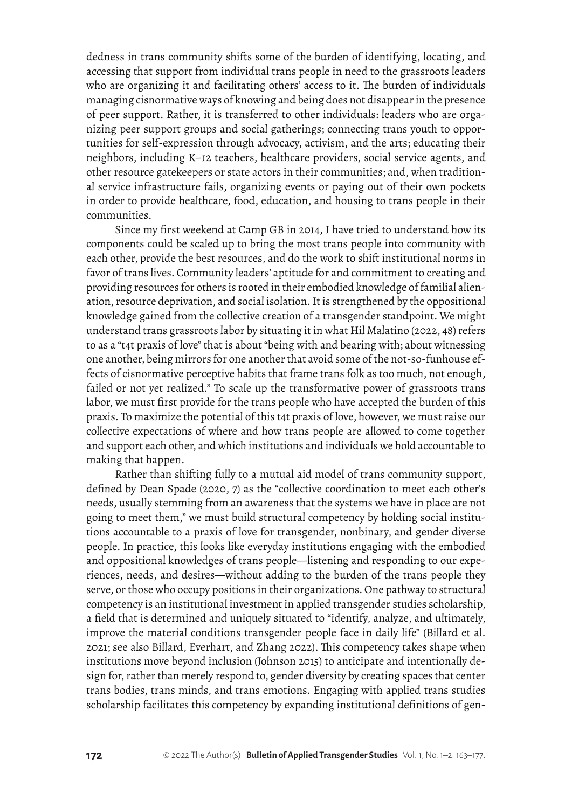dedness in trans community shifts some of the burden of identifying, locating, and accessing that support from individual trans people in need to the grassroots leaders who are organizing it and facilitating others' access to it. The burden of individuals managing cisnormative ways of knowing and being does not disappear in the presence of peer support. Rather, it is transferred to other individuals: leaders who are organizing peer support groups and social gatherings; connecting trans youth to opportunities for self-expression through advocacy, activism, and the arts; educating their neighbors, including K–12 teachers, healthcare providers, social service agents, and other resource gatekeepers or state actors in their communities; and, when traditional service infrastructure fails, organizing events or paying out of their own pockets in order to provide healthcare, food, education, and housing to trans people in their communities.

Since my first weekend at Camp GB in 2014, I have tried to understand how its components could be scaled up to bring the most trans people into community with each other, provide the best resources, and do the work to shift institutional norms in favor of trans lives. Community leaders' aptitude for and commitment to creating and providing resources for others is rooted in their embodied knowledge of familial alienation, resource deprivation, and social isolation. It is strengthened by the oppositional knowledge gained from the collective creation of a transgender standpoint. We might understand trans grassroots labor by situating it in what Hil Malatino (2022, 48) refers to as a "t4t praxis of love" that is about "being with and bearing with; about witnessing one another, being mirrors for one another that avoid some of the not-so-funhouse effects of cisnormative perceptive habits that frame trans folk as too much, not enough, failed or not yet realized." To scale up the transformative power of grassroots trans labor, we must first provide for the trans people who have accepted the burden of this praxis. To maximize the potential of this t4t praxis of love, however, we must raise our collective expectations of where and how trans people are allowed to come together and support each other, and which institutions and individuals we hold accountable to making that happen.

Rather than shifting fully to a mutual aid model of trans community support, defined by Dean Spade (2020, 7) as the "collective coordination to meet each other's needs, usually stemming from an awareness that the systems we have in place are not going to meet them," we must build structural competency by holding social institutions accountable to a praxis of love for transgender, nonbinary, and gender diverse people. In practice, this looks like everyday institutions engaging with the embodied and oppositional knowledges of trans people—listening and responding to our experiences, needs, and desires—without adding to the burden of the trans people they serve, or those who occupy positions in their organizations. One pathway to structural competency is an institutional investment in applied transgender studies scholarship, a field that is determined and uniquely situated to "identify, analyze, and ultimately, improve the material conditions transgender people face in daily life" (Billard et al. 2021; see also Billard, Everhart, and Zhang 2022). This competency takes shape when institutions move beyond inclusion (Johnson 2015) to anticipate and intentionally design for, rather than merely respond to, gender diversity by creating spaces that center trans bodies, trans minds, and trans emotions. Engaging with applied trans studies scholarship facilitates this competency by expanding institutional definitions of gen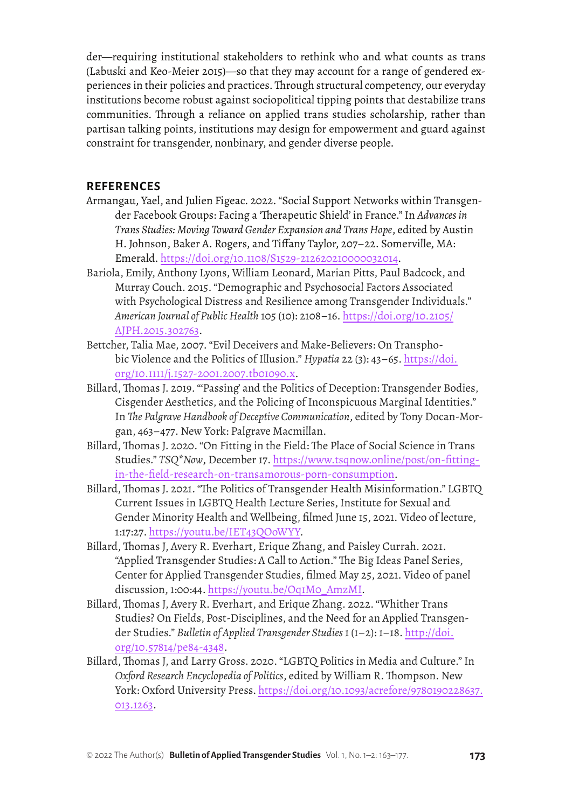der—requiring institutional stakeholders to rethink who and what counts as trans (Labuski and Keo-Meier 2015)—so that they may account for a range of gendered experiences in their policies and practices. Through structural competency, our everyday institutions become robust against sociopolitical tipping points that destabilize trans communities. Through a reliance on applied trans studies scholarship, rather than partisan talking points, institutions may design for empowerment and guard against constraint for transgender, nonbinary, and gender diverse people.

## **REFERENCES**

- Armangau, Yael, and Julien Figeac. 2022. "Social Support Networks within Transgender Facebook Groups: Facing a 'Therapeutic Shield' in France." In *Advances in Trans Studies: Moving Toward Gender Expansion and Trans Hope*, edited by Austin H. Johnson, Baker A. Rogers, and Tiffany Taylor, 207–22. Somerville, MA: Emerald.<https://doi.org/10.1108/S1529-212620210000032014>.
- Bariola, Emily, Anthony Lyons, William Leonard, Marian Pitts, Paul Badcock, and Murray Couch. 2015. "Demographic and Psychosocial Factors Associated with Psychological Distress and Resilience among Transgender Individuals." *American Journal of Public Health* 105 (10): 2108–16. [https://doi.org/10.2105/](https://doi.org/10.2105/AJPH.2015.302763) [AJPH.2015.302763](https://doi.org/10.2105/AJPH.2015.302763).
- Bettcher, Talia Mae, 2007. "Evil Deceivers and Make-Believers: On Transphobic Violence and the Politics of Illusion." *Hypatia* 22 (3): 43–65. [https://doi.](https://doi.org/10.1111/j.1527-2001.2007.tb01090.x) [org/10.1111/j.1527-2001.2007.tb01090.x](https://doi.org/10.1111/j.1527-2001.2007.tb01090.x).
- Billard, Thomas J. 2019. "'Passing' and the Politics of Deception: Transgender Bodies, Cisgender Aesthetics, and the Policing of Inconspicuous Marginal Identities." In *The Palgrave Handbook of Deceptive Communication*, edited by Tony Docan-Morgan, 463–477. New York: Palgrave Macmillan.
- Billard, Thomas J. 2020. "On Fitting in the Field: The Place of Social Science in Trans Studies." *TSQ\*Now*, December 17. [https://www.tsqnow.online/post/on-fitting](https://www.tsqnow.online/post/on-fitting-in-the-field-research-on-transamorous-porn-consumption)[in-the-field-research-on-transamorous-porn-consumption.](https://www.tsqnow.online/post/on-fitting-in-the-field-research-on-transamorous-porn-consumption)
- Billard, Thomas J. 2021. "The Politics of Transgender Health Misinformation." LGBTQ Current Issues in LGBTQ Health Lecture Series, Institute for Sexual and Gender Minority Health and Wellbeing, filmed June 15, 2021. Video of lecture, 1:17:27. <https://youtu.be/IET43QOoWYY>.
- Billard, Thomas J, Avery R. Everhart, Erique Zhang, and Paisley Currah. 2021. "Applied Transgender Studies: A Call to Action." The Big Ideas Panel Series, Center for Applied Transgender Studies, filmed May 25, 2021. Video of panel discussion, 1:00:44. [https://youtu.be/Oq1M0\\_AmzMI.](https://youtu.be/Oq1M0_AmzMI)
- Billard, Thomas J, Avery R. Everhart, and Erique Zhang. 2022. "Whither Trans Studies? On Fields, Post-Disciplines, and the Need for an Applied Transgender Studies." *Bulletin of Applied Transgender Studies* 1 (1–2): 1–18. [http://doi.](http://doi.org/10.57814/pe84-4348) [org/10.57814/pe84-4348](http://doi.org/10.57814/pe84-4348).
- Billard, Thomas J, and Larry Gross. 2020. "LGBTQ Politics in Media and Culture." In *Oxford Research Encyclopedia of Politics*, edited by William R. Thompson. New York: Oxford University Press. [https://doi.org/10.1093/acrefore/9780190228637.](https://doi.org/10.1093/acrefore/9780190228637.013.1263) [013.1263](https://doi.org/10.1093/acrefore/9780190228637.013.1263).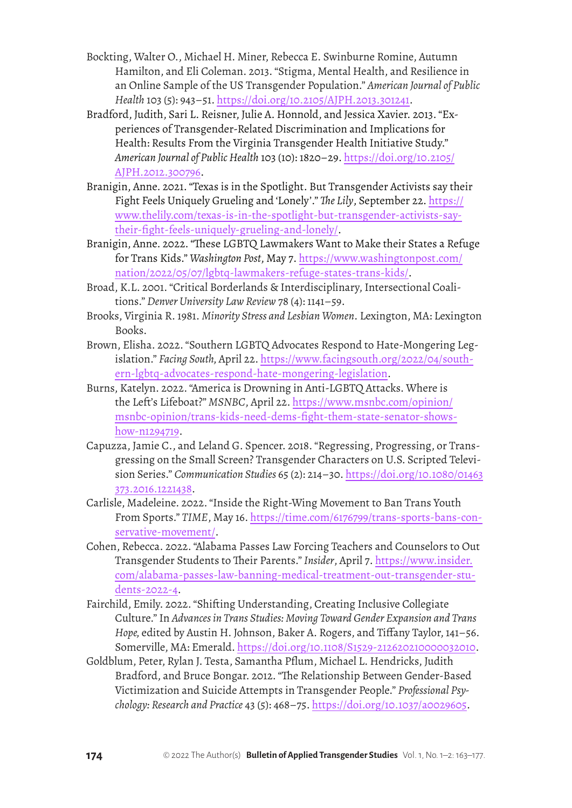- Bockting, Walter O., Michael H. Miner, Rebecca E. Swinburne Romine, Autumn Hamilton, and Eli Coleman. 2013. "Stigma, Mental Health, and Resilience in an Online Sample of the US Transgender Population." *American Journal of Public Health* 103 (5): 943–51. <https://doi.org/10.2105/AJPH.2013.301241>.
- Bradford, Judith, Sari L. Reisner, Julie A. Honnold, and Jessica Xavier. 2013. "Experiences of Transgender-Related Discrimination and Implications for Health: Results From the Virginia Transgender Health Initiative Study." *American Journal of Public Health* 103 (10): 1820–29. [https://doi.org/10.2105/](https://doi.org/10.2105/AJPH.2012.300796) [AJPH.2012.300796.](https://doi.org/10.2105/AJPH.2012.300796)
- Branigin, Anne. 2021. "Texas is in the Spotlight. But Transgender Activists say their Fight Feels Uniquely Grueling and 'Lonely'." *The Lily*, September 22. [https://](https://www.thelily.com/texas-is-in-the-spotlight-but-transgender-activists-say-their-fight-feels-uniquely-grueling-and-lonely/) [www.thelily.com/texas-is-in-the-spotlight-but-transgender-activists-say](https://www.thelily.com/texas-is-in-the-spotlight-but-transgender-activists-say-their-fight-feels-uniquely-grueling-and-lonely/)[their-fight-feels-uniquely-grueling-and-lonely/.](https://www.thelily.com/texas-is-in-the-spotlight-but-transgender-activists-say-their-fight-feels-uniquely-grueling-and-lonely/)
- Branigin, Anne. 2022. "These LGBTQ Lawmakers Want to Make their States a Refuge for Trans Kids." *Washington Post*, May 7. [https://www.washingtonpost.com/](https://www.washingtonpost.com/nation/2022/05/07/lgbtq-lawmakers-refuge-states-trans-kids/) [nation/2022/05/07/lgbtq-lawmakers-refuge-states-trans-kids/](https://www.washingtonpost.com/nation/2022/05/07/lgbtq-lawmakers-refuge-states-trans-kids/).
- Broad, K.L. 2001. "Critical Borderlands & Interdisciplinary, Intersectional Coalitions." *Denver University Law Review* 78 (4): 1141–59.
- Brooks, Virginia R. 1981. *Minority Stress and Lesbian Women*. Lexington, MA: Lexington Books.
- Brown, Elisha. 2022. "Southern LGBTQ Advocates Respond to Hate-Mongering Legislation." *Facing South,* April 22. [https://www.facingsouth.org/2022/04/south](https://www.facingsouth.org/2022/04/southern-lgbtq-advocates-respond-hate-mongering-legislation)[ern-lgbtq-advocates-respond-hate-mongering-legislation](https://www.facingsouth.org/2022/04/southern-lgbtq-advocates-respond-hate-mongering-legislation).
- Burns, Katelyn. 2022. "America is Drowning in Anti-LGBTQ Attacks. Where is the Left's Lifeboat?" *MSNBC*, April 22. [https://www.msnbc.com/opinion/](https://www.msnbc.com/opinion/msnbc-opinion/trans-kids-need-dems-fight-them-state-senator-shows-how-n1294719) [msnbc-opinion/trans-kids-need-dems-fight-them-state-senator-shows](https://www.msnbc.com/opinion/msnbc-opinion/trans-kids-need-dems-fight-them-state-senator-shows-how-n1294719)[how-n1294719.](https://www.msnbc.com/opinion/msnbc-opinion/trans-kids-need-dems-fight-them-state-senator-shows-how-n1294719)
- Capuzza, Jamie C., and Leland G. Spencer. 2018. "Regressing, Progressing, or Transgressing on the Small Screen? Transgender Characters on U.S. Scripted Television Series." *Communication Studies* 65 (2): 214–30. [https://doi.org/10.1080/01463](https://doi.org/10.1080/01463373.2016.1221438) [373.2016.1221438.](https://doi.org/10.1080/01463373.2016.1221438)
- Carlisle, Madeleine. 2022. "Inside the Right-Wing Movement to Ban Trans Youth From Sports." *TIME*, May 16. [https://time.com/6176799/trans-sports-bans-con](https://time.com/6176799/trans-sports-bans-conservative-movement/)[servative-movement/](https://time.com/6176799/trans-sports-bans-conservative-movement/).
- Cohen, Rebecca. 2022. "Alabama Passes Law Forcing Teachers and Counselors to Out Transgender Students to Their Parents." *Insider*, April 7. [https://www.insider.](https://www.insider.com/alabama-passes-law-banning-medical-treatment-out-transgender-students-2022-4) [com/alabama-passes-law-banning-medical-treatment-out-transgender-stu](https://www.insider.com/alabama-passes-law-banning-medical-treatment-out-transgender-students-2022-4)[dents-2022-4](https://www.insider.com/alabama-passes-law-banning-medical-treatment-out-transgender-students-2022-4).
- Fairchild, Emily. 2022. "Shifting Understanding, Creating Inclusive Collegiate Culture." In *Advances in Trans Studies: Moving Toward Gender Expansion and Trans Hope,* edited by Austin H. Johnson, Baker A. Rogers, and Tiffany Taylor, 141–56. Somerville, MA: Emerald.<https://doi.org/10.1108/S1529-212620210000032010>.
- Goldblum, Peter, Rylan J. Testa, Samantha Pflum, Michael L. Hendricks, Judith Bradford, and Bruce Bongar. 2012. "The Relationship Between Gender-Based Victimization and Suicide Attempts in Transgender People." *Professional Psychology: Research and Practice* 43 (5): 468–75. [https://doi.org/10.1037/a0029605.](https://doi.org/10.1037/a0029605)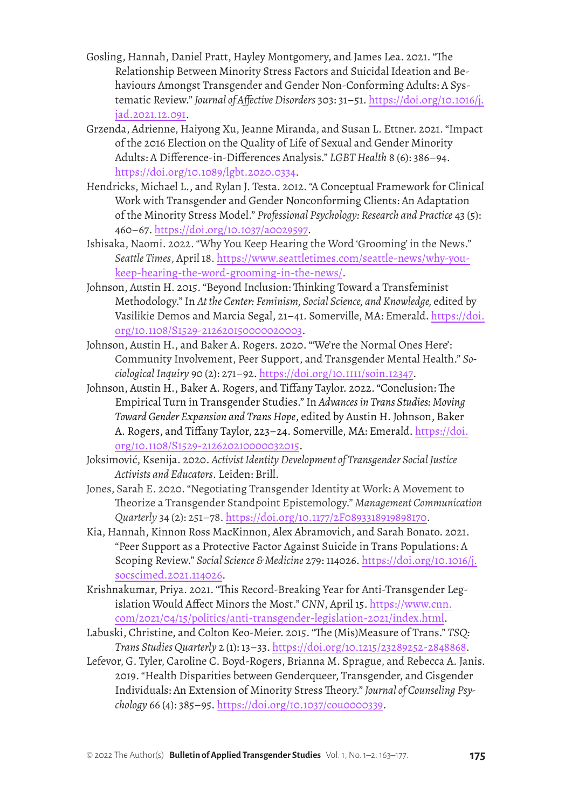- Gosling, Hannah, Daniel Pratt, Hayley Montgomery, and James Lea. 2021. "The Relationship Between Minority Stress Factors and Suicidal Ideation and Behaviours Amongst Transgender and Gender Non-Conforming Adults: A Systematic Review." *Journal of Affective Disorders* 303: 31–51. [https://doi.org/10.1016/j.](https://doi.org/10.1016/j.jad.2021.12.091) [jad.2021.12.091.](https://doi.org/10.1016/j.jad.2021.12.091)
- Grzenda, Adrienne, Haiyong Xu, Jeanne Miranda, and Susan L. Ettner. 2021. "Impact of the 2016 Election on the Quality of Life of Sexual and Gender Minority Adults: A Difference-in-Differences Analysis." *LGBT Health* 8 (6): 386–94. [https://doi.org/10.1089/lgbt.2020.0334.](https://doi.org/10.1089/lgbt.2020.0334)
- Hendricks, Michael L., and Rylan J. Testa. 2012. "A Conceptual Framework for Clinical Work with Transgender and Gender Nonconforming Clients: An Adaptation of the Minority Stress Model." *Professional Psychology: Research and Practice* 43 (5): 460–67. <https://doi.org/10.1037/a0029597>.
- Ishisaka, Naomi. 2022. "Why You Keep Hearing the Word 'Grooming' in the News." *Seattle Times*, April 18. [https://www.seattletimes.com/seattle-news/why-you](https://www.seattletimes.com/seattle-news/why-you-keep-hearing-the-word-grooming-in-the-news/)[keep-hearing-the-word-grooming-in-the-news/](https://www.seattletimes.com/seattle-news/why-you-keep-hearing-the-word-grooming-in-the-news/).
- Johnson, Austin H. 2015. "Beyond Inclusion: Thinking Toward a Transfeminist Methodology." In *At the Center: Feminism, Social Science, and Knowledge,* edited by Vasilikie Demos and Marcia Segal, 21–41. Somerville, MA: Emerald. [https://doi.](https://doi.org/10.1108/S1529-212620150000020003) [org/10.1108/S1529-212620150000020003](https://doi.org/10.1108/S1529-212620150000020003).
- Johnson, Austin H., and Baker A. Rogers. 2020. "'We're the Normal Ones Here': Community Involvement, Peer Support, and Transgender Mental Health." *Sociological Inquiry* 90 (2): 271–92. [https://doi.org/10.1111/soin.12347.](https://doi.org/10.1111/soin.12347)
- Johnson, Austin H., Baker A. Rogers, and Tiffany Taylor. 2022. "Conclusion: The Empirical Turn in Transgender Studies." In *Advances in Trans Studies: Moving Toward Gender Expansion and Trans Hope*, edited by Austin H. Johnson, Baker A. Rogers, and Tiffany Taylor, 223–24. Somerville, MA: Emerald. [https://doi.](https://doi.org/10.1108/S1529-212620210000032015) [org/10.1108/S1529-212620210000032015.](https://doi.org/10.1108/S1529-212620210000032015)
- Joksimović, Ksenija. 2020. *Activist Identity Development of Transgender Social Justice Activists and Educators*. Leiden: Brill.
- Jones, Sarah E. 2020. "Negotiating Transgender Identity at Work: A Movement to Theorize a Transgender Standpoint Epistemology." *Management Communication Quarterly* 34 (2): 251–78.<https://doi.org/10.1177/2F0893318919898170>.
- Kia, Hannah, Kinnon Ross MacKinnon, Alex Abramovich, and Sarah Bonato. 2021. "Peer Support as a Protective Factor Against Suicide in Trans Populations: A Scoping Review." *Social Science & Medicine* 279: 114026. [https://doi.org/10.1016/j.](https://doi.org/10.1016/j.socscimed.2021.114026) [socscimed.2021.114026](https://doi.org/10.1016/j.socscimed.2021.114026).
- Krishnakumar, Priya. 2021. "This Record-Breaking Year for Anti-Transgender Legislation Would Affect Minors the Most." CNN, April 15. [https://www.cnn.](https://www.cnn.com/2021/04/15/politics/anti-transgender-legislation-2021/index.html) [com/2021/04/15/politics/anti-transgender-legislation-2021/index.html](https://www.cnn.com/2021/04/15/politics/anti-transgender-legislation-2021/index.html).
- Labuski, Christine, and Colton Keo-Meier. 2015. "The (Mis)Measure of Trans." *TSQ: Trans Studies Quarterly* 2 (1): 13–33. <https://doi.org/10.1215/23289252-2848868>.
- Lefevor, G. Tyler, Caroline C. Boyd-Rogers, Brianna M. Sprague, and Rebecca A. Janis. 2019. "Health Disparities between Genderqueer, Transgender, and Cisgender Individuals: An Extension of Minority Stress Theory." *Journal of Counseling Psychology* 66 (4): 385–95. [https://doi.org/10.1037/cou0000339.](https://doi.org/10.1037/cou0000339)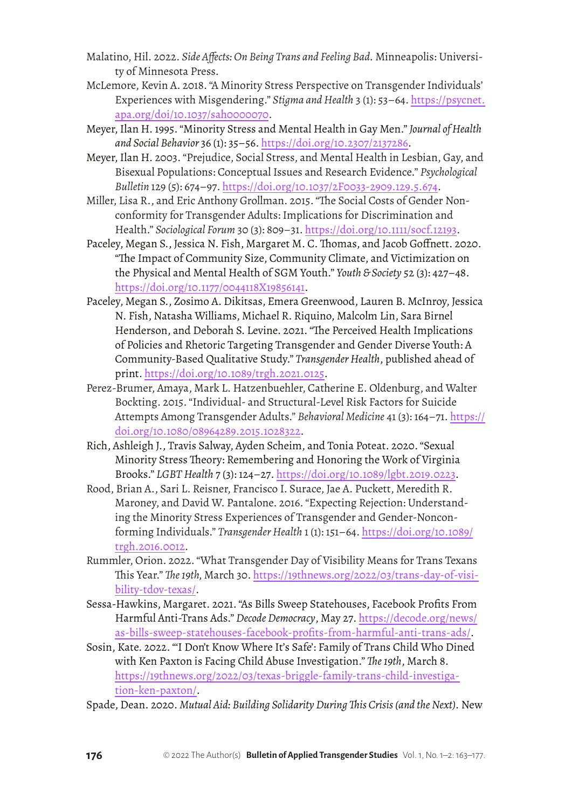- Malatino, Hil. 2022. *Side Affects: On Being Trans and Feeling Bad.* Minneapolis: University of Minnesota Press.
- McLemore, Kevin A. 2018. "A Minority Stress Perspective on Transgender Individuals' Experiences with Misgendering." *Stigma and Health* 3 (1): 53–64. [https://psycnet.](https://psycnet.apa.org/doi/10.1037/sah0000070) [apa.org/doi/10.1037/sah0000070.](https://psycnet.apa.org/doi/10.1037/sah0000070)
- Meyer, Ilan H. 1995. "Minority Stress and Mental Health in Gay Men." *Journal of Health and Social Behavior* 36 (1): 35–56. [https://doi.org/10.2307/2137286.](https://doi.org/10.2307/2137286)
- Meyer, Ilan H. 2003. "Prejudice, Social Stress, and Mental Health in Lesbian, Gay, and Bisexual Populations: Conceptual Issues and Research Evidence." *Psychological Bulletin* 129 (5): 674–97. [https://doi.org/10.1037/2F0033-2909.129.5.674.](https://doi.org/10.1037/2F0033-2909.129.5.674)
- Miller, Lisa R., and Eric Anthony Grollman. 2015. "The Social Costs of Gender Nonconformity for Transgender Adults: Implications for Discrimination and Health." *Sociological Forum* 30 (3): 809–31. <https://doi.org/10.1111/socf.12193>.
- Paceley, Megan S., Jessica N. Fish, Margaret M. C. Thomas, and Jacob Goffnett. 2020. "The Impact of Community Size, Community Climate, and Victimization on the Physical and Mental Health of SGM Youth." *Youth & Society* 52 (3): 427–48. <https://doi.org/10.1177/0044118X19856141>.
- Paceley, Megan S., Zosimo A. Dikitsas, Emera Greenwood, Lauren B. McInroy, Jessica N. Fish, Natasha Williams, Michael R. Riquino, Malcolm Lin, Sara Birnel Henderson, and Deborah S. Levine. 2021. "The Perceived Health Implications of Policies and Rhetoric Targeting Transgender and Gender Diverse Youth: A Community-Based Qualitative Study." *Transgender Health*, published ahead of print. [https://doi.org/10.1089/trgh.2021.0125.](https://doi.org/10.1089/trgh.2021.0125)
- Perez-Brumer, Amaya, Mark L. Hatzenbuehler, Catherine E. Oldenburg, and Walter Bockting. 2015. "Individual- and Structural-Level Risk Factors for Suicide Attempts Among Transgender Adults." *Behavioral Medicine* 41 (3): 164–71. [https://](https://doi.org/10.1080/08964289.2015.1028322) [doi.org/10.1080/08964289.2015.1028322.](https://doi.org/10.1080/08964289.2015.1028322)
- Rich, Ashleigh J., Travis Salway, Ayden Scheim, and Tonia Poteat. 2020. "Sexual Minority Stress Theory: Remembering and Honoring the Work of Virginia Brooks." *LGBT Health* 7 (3): 124–27. <https://doi.org/10.1089/lgbt.2019.0223>.
- Rood, Brian A., Sari L. Reisner, Francisco I. Surace, Jae A. Puckett, Meredith R. Maroney, and David W. Pantalone. 2016. "Expecting Rejection: Understanding the Minority Stress Experiences of Transgender and Gender-Nonconforming Individuals." *Transgender Health* 1 (1): 151–64. [https://doi.org/10.1089/](https://doi.org/10.1089/trgh.2016.0012) [trgh.2016.0012](https://doi.org/10.1089/trgh.2016.0012).
- Rummler, Orion. 2022. "What Transgender Day of Visibility Means for Trans Texans This Year." *The 19th,* March 30. [https://19thnews.org/2022/03/trans-day-of-visi](https://19thnews.org/2022/03/trans-day-of-visibility-tdov-texas/)[bility-tdov-texas/.](https://19thnews.org/2022/03/trans-day-of-visibility-tdov-texas/)
- Sessa-Hawkins, Margaret. 2021. "As Bills Sweep Statehouses, Facebook Profits From Harmful Anti-Trans Ads." *Decode Democracy*, May 27. [https://decode.org/news/](https://decode.org/news/as-bills-sweep-statehouses-facebook-profits-from-harmful-anti-trans-ads/) [as-bills-sweep-statehouses-facebook-profits-from-harmful-anti-trans-ads/.](https://decode.org/news/as-bills-sweep-statehouses-facebook-profits-from-harmful-anti-trans-ads/)
- Sosin, Kate. 2022. "'I Don't Know Where It's Safe': Family of Trans Child Who Dined with Ken Paxton is Facing Child Abuse Investigation." *The 19th*, March 8. [https://19thnews.org/2022/03/texas-briggle-family-trans-child-investiga](https://19thnews.org/2022/03/texas-briggle-family-trans-child-investigation-ken-paxton/)[tion-ken-paxton/.](https://19thnews.org/2022/03/texas-briggle-family-trans-child-investigation-ken-paxton/)
- Spade, Dean. 2020. *Mutual Aid: Building Solidarity During This Crisis (and the Next).* New